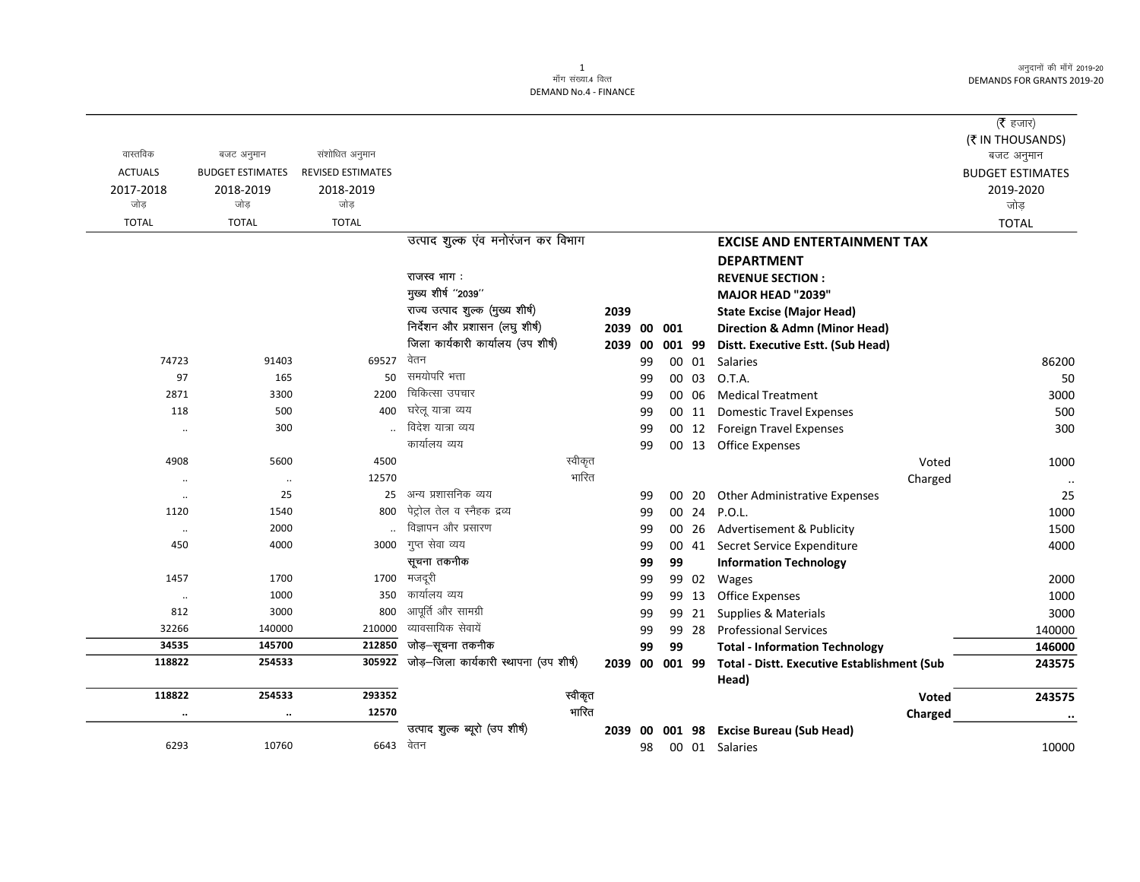अनुदानों की माँगें 2019-20 **DEMANDS FOR GRANTS 2019-20** 

|                   |                         |                   |                                        |      |          |     |                |                                                             | ( $\bar{\tau}$ हजार)    |
|-------------------|-------------------------|-------------------|----------------------------------------|------|----------|-----|----------------|-------------------------------------------------------------|-------------------------|
|                   |                         |                   |                                        |      |          |     |                |                                                             | (₹ IN THOUSANDS)        |
| वास्तविक          | बजट अनुमान              | संशोधित अनुमान    |                                        |      |          |     |                |                                                             | बजट अनुमान              |
| <b>ACTUALS</b>    | <b>BUDGET ESTIMATES</b> | REVISED ESTIMATES |                                        |      |          |     |                |                                                             | <b>BUDGET ESTIMATES</b> |
| 2017-2018         | 2018-2019               | 2018-2019         |                                        |      |          |     |                |                                                             | 2019-2020               |
| जोड़              | जोड                     | जोड               |                                        |      |          |     |                |                                                             | जोड़                    |
| <b>TOTAL</b>      | <b>TOTAL</b>            | <b>TOTAL</b>      |                                        |      |          |     |                |                                                             | <b>TOTAL</b>            |
|                   |                         |                   | उत्पाद शुल्क एंव मनोरंजन कर विभाग      |      |          |     |                | <b>EXCISE AND ENTERTAINMENT TAX</b>                         |                         |
|                   |                         |                   |                                        |      |          |     |                | <b>DEPARTMENT</b>                                           |                         |
|                   |                         |                   | राजस्व भाग :                           |      |          |     |                | <b>REVENUE SECTION:</b>                                     |                         |
|                   |                         |                   | मुख्य शीर्ष "2039"                     |      |          |     |                | MAJOR HEAD "2039"                                           |                         |
|                   |                         |                   | राज्य उत्पाद शुल्क (मुख्य शीर्ष)       | 2039 |          |     |                | <b>State Excise (Major Head)</b>                            |                         |
|                   |                         |                   | निर्देशन और प्रशासन (लघु शीर्ष)        |      | 2039 00  | 001 |                | <b>Direction &amp; Admn (Minor Head)</b>                    |                         |
|                   |                         |                   | जिला कार्यकारी कार्यालय (उप शीर्ष)     |      | 2039 00  |     | 001 99         | Distt. Executive Estt. (Sub Head)                           |                         |
| 74723             | 91403                   | 69527             | वेतन                                   |      | 99       |     | 00 01          | Salaries                                                    | 86200                   |
| 97                | 165                     | 50                | समयोपरि भत्ता                          |      | 99       |     | 00 03          | O.T.A.                                                      | 50                      |
| 2871              | 3300                    | 2200              | चिकित्सा उपचार                         |      | 99       |     | 00 06          | <b>Medical Treatment</b>                                    | 3000                    |
| 118               | 500                     | 400               | घरेलू यात्रा व्यय<br>विदेश यात्रा व्यय |      | 99       |     | 00 11          | <b>Domestic Travel Expenses</b>                             | 500                     |
| $\ddotsc$         | 300                     |                   | कार्यालय व्यय                          |      | 99       |     | 00 12          | <b>Foreign Travel Expenses</b>                              | 300                     |
|                   |                         |                   |                                        |      | 99       |     |                | 00 13 Office Expenses                                       |                         |
| 4908              | 5600                    | 4500              | स्वीकृत<br>भारित                       |      |          |     |                | Voted                                                       | 1000                    |
| $\ldots$          | $\ldots$<br>25          | 12570<br>25       | अन्य प्रशासनिक व्यय                    |      |          |     |                | Charged                                                     | $\cdot\cdot$            |
| $\ddotsc$<br>1120 | 1540                    | 800               | पेट्रोल तेल व स्नैहक द्रव्य            |      | 99       |     | 00 20          | Other Administrative Expenses<br>00 24 P.O.L.               | 25                      |
|                   | 2000                    |                   | विज्ञापन और प्रसारण                    |      | 99       |     |                | Advertisement & Publicity                                   | 1000<br>1500            |
| $\ldots$<br>450   | 4000                    | 3000              | गुप्त सेवा व्यय                        |      | 99<br>99 |     | 00 26<br>00 41 |                                                             | 4000                    |
|                   |                         |                   | सूचना तकनीक                            |      | 99       | 99  |                | Secret Service Expenditure<br><b>Information Technology</b> |                         |
| 1457              | 1700                    | 1700              | मजदूरी                                 |      | 99       |     | 99 02          | Wages                                                       | 2000                    |
| $\ddots$          | 1000                    | 350               | कार्यालय व्यय                          |      | 99       |     | 99 13          | <b>Office Expenses</b>                                      | 1000                    |
| 812               | 3000                    | 800               | आपूर्ति और सामग्री                     |      | 99       | 99  | 21             | Supplies & Materials                                        | 3000                    |
| 32266             | 140000                  | 210000            | व्यावसायिक सेवायें                     |      | 99       |     | 99 28          | <b>Professional Services</b>                                | 140000                  |
| 34535             | 145700                  | 212850            | जोड़–सूचना तकनीक                       |      | 99       | 99  |                | <b>Total - Information Technology</b>                       | 146000                  |
| 118822            | 254533                  | 305922            | जोड़-जिला कार्यकारी स्थापना (उप शीर्ष) |      | 2039 00  |     | 001 99         | Total - Distt. Executive Establishment (Sub                 | 243575                  |
|                   |                         |                   |                                        |      |          |     |                | Head)                                                       |                         |
| 118822            | 254533                  | 293352            | स्वीकृत                                |      |          |     |                | Voted                                                       | 243575                  |
|                   | $\ddot{\phantom{0}}$    | 12570             | भारित                                  |      |          |     |                | Charged                                                     |                         |
|                   |                         |                   | उत्पाद शुल्क ब्यूरो (उप शीर्ष)         |      |          |     |                | 2039 00 001 98 Excise Bureau (Sub Head)                     |                         |
| 6293              | 10760                   | 6643              | वेतन                                   |      | 98       |     |                | 00 01 Salaries                                              | 10000                   |
|                   |                         |                   |                                        |      |          |     |                |                                                             |                         |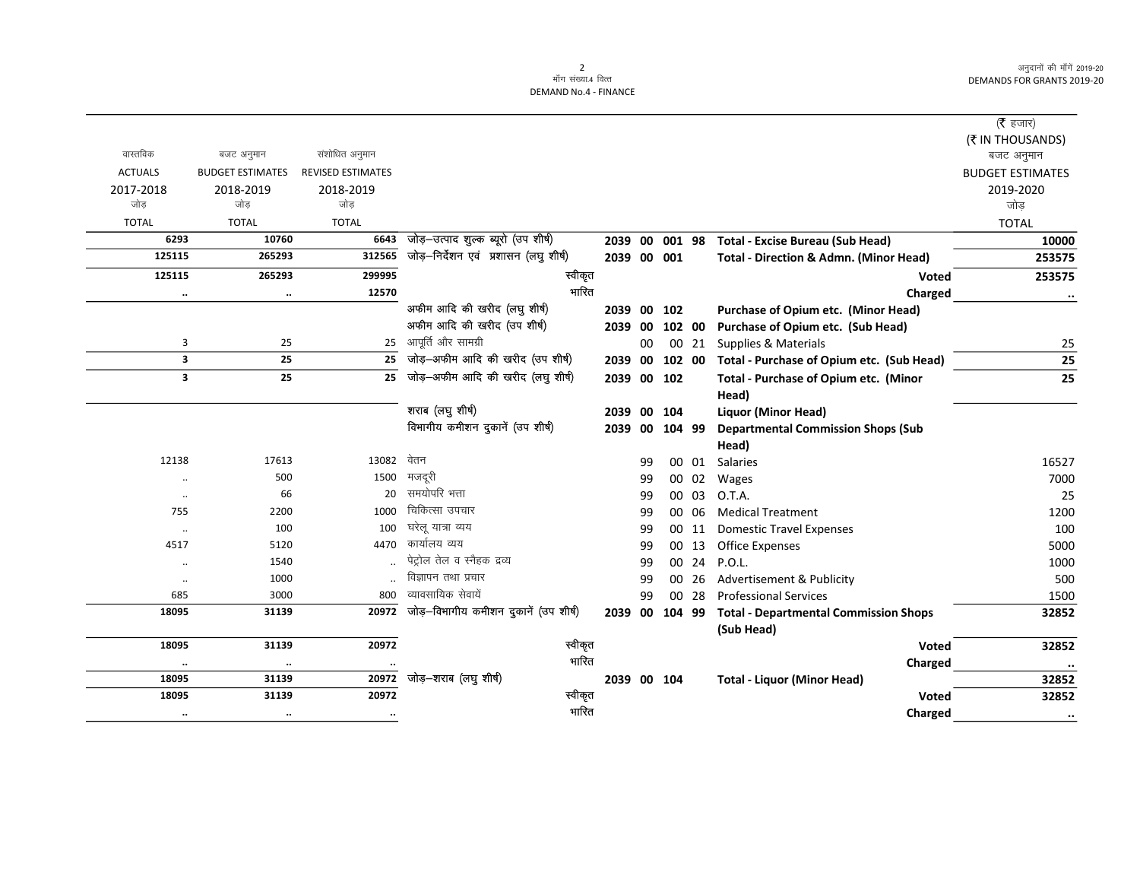अनुदानों की माँगें 2019-20 **DEMANDS FOR GRANTS 2019-20** 

 $\overline{\phantom{0}}$ 

## 2<br>माँग संख्या.4 वित्त **DEMAND No.4 - FINANCE**

|                         |                         |                          |                                       |         |    |                |       |                                                   | ( $\bar{\tau}$ हजार)    |
|-------------------------|-------------------------|--------------------------|---------------------------------------|---------|----|----------------|-------|---------------------------------------------------|-------------------------|
|                         |                         |                          |                                       |         |    |                |       |                                                   | (₹ IN THOUSANDS)        |
| वास्तविक                | बजट अनुमान              | संशोधित अनुमान           |                                       |         |    |                |       |                                                   | बजट अनुमान              |
| <b>ACTUALS</b>          | <b>BUDGET ESTIMATES</b> | <b>REVISED ESTIMATES</b> |                                       |         |    |                |       |                                                   | <b>BUDGET ESTIMATES</b> |
| 2017-2018               | 2018-2019               | 2018-2019                |                                       |         |    |                |       |                                                   | 2019-2020               |
| जोड                     | जोड                     | जोड                      |                                       |         |    |                |       |                                                   | जोड                     |
| <b>TOTAL</b>            | <b>TOTAL</b>            | <b>TOTAL</b>             |                                       |         |    |                |       |                                                   | <b>TOTAL</b>            |
| 6293                    | 10760                   | 6643                     | जोड़-उत्पाद शुल्क ब्यूरो (उप शीर्ष)   |         |    |                |       | 2039 00 001 98 Total - Excise Bureau (Sub Head)   | 10000                   |
| 125115                  | 265293                  | 312565                   | जोड़-निर्देशन एवं प्रशासन (लघु शीर्ष) |         |    | 2039 00 001    |       | <b>Total - Direction &amp; Admn. (Minor Head)</b> | 253575                  |
| 125115                  | 265293                  | 299995                   | स्वीकृत                               |         |    |                |       | <b>Voted</b>                                      | 253575                  |
| $\ddotsc$               | $\cdot\cdot$            | 12570                    | भारित                                 |         |    |                |       | Charged                                           | $\ddotsc$               |
|                         |                         |                          | अफीम आदि की खरीद (लघु शीर्ष)          | 2039    |    | 00 102         |       | Purchase of Opium etc. (Minor Head)               |                         |
|                         |                         |                          | अफीम आदि की खरीद (उप शीर्ष)           |         |    | 2039 00 102 00 |       | Purchase of Opium etc. (Sub Head)                 |                         |
| 3                       | 25                      | 25                       | आपूर्ति और सामग्री                    |         | 00 |                | 00 21 | Supplies & Materials                              | 25                      |
| $\overline{\mathbf{3}}$ | 25                      | 25                       | जोड़-अफीम आदि की खरीद (उप शीर्ष)      | 2039 00 |    | 102 00         |       | Total - Purchase of Opium etc. (Sub Head)         | 25                      |
| $\overline{\mathbf{3}}$ | 25                      | 25                       | जोड़-अफीम आदि की खरीद (लघु शीर्ष)     |         |    | 2039 00 102    |       | Total - Purchase of Opium etc. (Minor             | 25                      |
|                         |                         |                          |                                       |         |    |                |       | Head)                                             |                         |
|                         |                         |                          | शराब (लघु शीर्ष)                      | 2039    |    | 00 104         |       | Liquor (Minor Head)                               |                         |
|                         |                         |                          | विभागीय कमीशन दुकानें (उप शीर्ष)      |         |    | 2039 00 104 99 |       | <b>Departmental Commission Shops (Sub</b>         |                         |
|                         |                         |                          |                                       |         |    |                |       | Head)                                             |                         |
| 12138                   | 17613                   | 13082                    | वेतन                                  |         | 99 |                | 00 01 | Salaries                                          | 16527                   |
|                         | 500                     | 1500                     | मजदूरी                                |         | 99 |                | 00 02 | Wages                                             | 7000                    |
| $\ddotsc$               | 66                      | 20                       | समयोपरि भत्ता                         |         | 99 |                | 00 03 | O.T.A.                                            | 25                      |
| 755                     | 2200                    | 1000                     | चिकित्सा उपचार                        |         | 99 |                | 00 06 | <b>Medical Treatment</b>                          | 1200                    |
| $\cdot\cdot$            | 100                     | 100                      | घरेलू यात्रा व्यय                     |         | 99 |                | 00 11 | <b>Domestic Travel Expenses</b>                   | 100                     |
| 4517                    | 5120                    | 4470                     | कार्यालय व्यय                         |         | 99 |                | 00 13 | Office Expenses                                   | 5000                    |
| $\ddotsc$               | 1540                    |                          | पेट्रोल तेल व स्नैहक द्रव्य           |         | 99 |                | 00 24 | P.O.L.                                            | 1000                    |
| $\ddotsc$               | 1000                    |                          | विज्ञापन तथा प्रचार                   |         | 99 |                | 00 26 | Advertisement & Publicity                         | 500                     |
| 685                     | 3000                    | 800                      | व्यावसायिक सेवायें                    |         | 99 |                | 00 28 | <b>Professional Services</b>                      | 1500                    |
| 18095                   | 31139                   | 20972                    | जोड़-विभागीय कमीशन दुकानें (उप शीर्ष) |         |    | 2039 00 104 99 |       | <b>Total - Departmental Commission Shops</b>      | 32852                   |
|                         |                         |                          |                                       |         |    |                |       | (Sub Head)                                        |                         |
| 18095                   | 31139                   | 20972                    | स्वीकृत                               |         |    |                |       | Voted                                             | 32852                   |
|                         | $\ldots$                |                          | भारित                                 |         |    |                |       | Charged                                           | $\ldots$                |
| 18095                   | 31139                   | 20972                    | जोड़–शराब (लघु शीर्ष)                 |         |    | 2039 00 104    |       | <b>Total - Liquor (Minor Head)</b>                | 32852                   |
| 18095                   | 31139                   | 20972                    | स्वीकृत                               |         |    |                |       | Voted                                             | 32852                   |
| $\ddot{\phantom{0}}$    |                         |                          | भारित                                 |         |    |                |       | Charged                                           | $\cdot \cdot$           |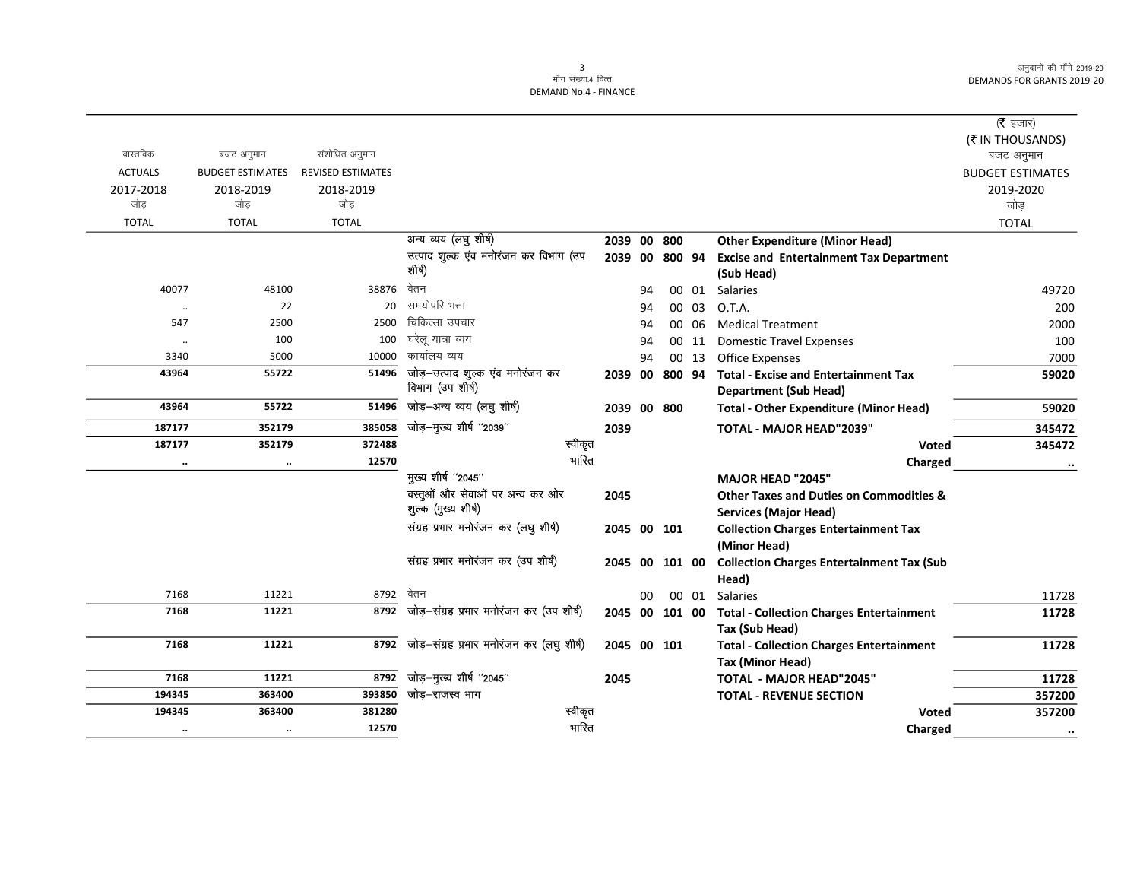अनुदानों की माँगें 2019-20 DEMANDS FOR GRANTS 2019-20

## 3<br>माँग संख्या.4 वित्त

DEMAND No.4 - FINANCE

|                |                         |                          |                                           |                |    |           |       |                                                    | ( $\bar{\tau}$ हजार)    |
|----------------|-------------------------|--------------------------|-------------------------------------------|----------------|----|-----------|-------|----------------------------------------------------|-------------------------|
|                |                         |                          |                                           |                |    |           |       |                                                    | (₹ IN THOUSANDS)        |
| वास्तविक       | बजट अनुमान              | संशोधित अनुमान           |                                           |                |    |           |       |                                                    | बजट अनुमान              |
| <b>ACTUALS</b> | <b>BUDGET ESTIMATES</b> | <b>REVISED ESTIMATES</b> |                                           |                |    |           |       |                                                    | <b>BUDGET ESTIMATES</b> |
| 2017-2018      | 2018-2019               | 2018-2019                |                                           |                |    |           |       |                                                    | 2019-2020               |
| जोड़           | जोड                     | जोड                      |                                           |                |    |           |       |                                                    | जोड़                    |
| <b>TOTAL</b>   | <b>TOTAL</b>            | <b>TOTAL</b>             |                                           |                |    |           |       |                                                    | <b>TOTAL</b>            |
|                |                         |                          | अन्य व्यय (लघु शीर्ष)                     | 2039 00 800    |    |           |       | <b>Other Expenditure (Minor Head)</b>              |                         |
|                |                         |                          | उत्पाद शुल्क एंव मनोरंजन कर विभाग (उप     | 2039 00 800 94 |    |           |       | <b>Excise and Entertainment Tax Department</b>     |                         |
|                |                         |                          | शीर्ष)                                    |                |    |           |       | (Sub Head)                                         |                         |
| 40077          | 48100                   | 38876                    | वेतन                                      |                | 94 |           | 00 01 | Salaries                                           | 49720                   |
|                | 22                      | 20                       | समयोपरि भत्ता                             |                | 94 |           | 00 03 | O.T.A.                                             | 200                     |
| 547            | 2500                    | 2500                     | चिकित्सा उपचार                            |                | 94 |           | 00 06 | <b>Medical Treatment</b>                           | 2000                    |
| $\cdot\cdot$   | 100                     | 100                      | घरेलू यात्रा व्यय                         |                | 94 |           | 00 11 | <b>Domestic Travel Expenses</b>                    | 100                     |
| 3340           | 5000                    | 10000                    | कार्यालय व्यय                             |                | 94 |           | 00 13 | <b>Office Expenses</b>                             | 7000                    |
| 43964          | 55722                   | 51496                    | जोड़–उत्पाद शुल्क एंव मनोरंजन कर          | 2039           | 00 | 800 94    |       | <b>Total - Excise and Entertainment Tax</b>        | 59020                   |
|                |                         |                          | विभाग (उप शीर्ष)                          |                |    |           |       | <b>Department (Sub Head)</b>                       |                         |
| 43964          | 55722                   | 51496                    | जोड़-अन्य व्यय (लघु शीर्ष)                | 2039 00 800    |    |           |       | <b>Total - Other Expenditure (Minor Head)</b>      | 59020                   |
| 187177         | 352179                  | 385058                   | जोड़-मुख्य शीर्ष "2039"                   | 2039           |    |           |       | TOTAL - MAJOR HEAD"2039"                           | 345472                  |
| 187177         | 352179                  | 372488                   | स्वीकृत                                   |                |    |           |       | Voted                                              | 345472                  |
| $\cdot\cdot$   | $\ddot{\phantom{a}}$    | 12570                    | भारित                                     |                |    |           |       | Charged                                            | $\ddotsc$               |
|                |                         |                          | मुख्य शीर्ष "2045"                        |                |    |           |       | <b>MAJOR HEAD "2045"</b>                           |                         |
|                |                         |                          | वस्तूओं और सेवाओं पर अन्य कर ओर           | 2045           |    |           |       | <b>Other Taxes and Duties on Commodities &amp;</b> |                         |
|                |                         |                          | शुल्क (मुख्य शीर्ष)                       |                |    |           |       | <b>Services (Major Head)</b>                       |                         |
|                |                         |                          | संग्रह प्रभार मनोरंजन कर (लघु शीर्ष)      | 2045 00 101    |    |           |       | <b>Collection Charges Entertainment Tax</b>        |                         |
|                |                         |                          |                                           |                |    |           |       | (Minor Head)                                       |                         |
|                |                         |                          | संग्रह प्रभार मनोरंजन कर (उप शीर्ष)       | 2045           |    | 00 101 00 |       | <b>Collection Charges Entertainment Tax (Sub</b>   |                         |
|                |                         |                          |                                           |                |    |           |       | Head)                                              |                         |
| 7168           | 11221                   | 8792                     | वेतन                                      |                | 00 |           | 00 01 | <b>Salaries</b>                                    | 11728                   |
| 7168           | 11221                   | 8792                     | जोड़—संग्रह प्रभार मनोरंजन कर (उप शीर्ष)  | 2045 00 101 00 |    |           |       | <b>Total - Collection Charges Entertainment</b>    | 11728                   |
|                |                         |                          |                                           |                |    |           |       | Tax (Sub Head)                                     |                         |
| 7168           | 11221                   | 8792                     | जोड़-संग्रह प्रभार मनोरंजन कर (लघु शीर्ष) | 2045 00 101    |    |           |       | <b>Total - Collection Charges Entertainment</b>    | 11728                   |
|                |                         |                          |                                           |                |    |           |       | Tax (Minor Head)                                   |                         |
| 7168           | 11221                   | 8792                     | जोड़-मुख्य शीर्ष "2045"                   | 2045           |    |           |       | <b>TOTAL - MAJOR HEAD"2045"</b>                    | 11728                   |
| 194345         | 363400                  | 393850                   | जोड–राजस्व भाग                            |                |    |           |       | <b>TOTAL - REVENUE SECTION</b>                     | 357200                  |
| 194345         | 363400                  | 381280                   | स्वीकृत                                   |                |    |           |       | Voted                                              | 357200                  |
| $\cdot \cdot$  | $\ddot{\phantom{a}}$    | 12570                    | भारित                                     |                |    |           |       | Charged                                            | $\ddot{\phantom{0}}$    |